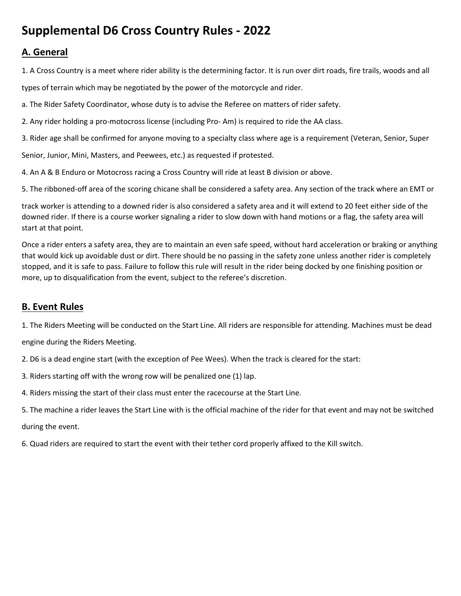# **Supplemental D6 Cross Country Rules - 2022**

# **A. General**

1. A Cross Country is a meet where rider ability is the determining factor. It is run over dirt roads, fire trails, woods and all types of terrain which may be negotiated by the power of the motorcycle and rider.

a. The Rider Safety Coordinator, whose duty is to advise the Referee on matters of rider safety.

2. Any rider holding a pro-motocross license (including Pro- Am) is required to ride the AA class.

3. Rider age shall be confirmed for anyone moving to a specialty class where age is a requirement (Veteran, Senior, Super

Senior, Junior, Mini, Masters, and Peewees, etc.) as requested if protested.

4. An A & B Enduro or Motocross racing a Cross Country will ride at least B division or above.

5. The ribboned-off area of the scoring chicane shall be considered a safety area. Any section of the track where an EMT or

track worker is attending to a downed rider is also considered a safety area and it will extend to 20 feet either side of the downed rider. If there is a course worker signaling a rider to slow down with hand motions or a flag, the safety area will start at that point.

Once a rider enters a safety area, they are to maintain an even safe speed, without hard acceleration or braking or anything that would kick up avoidable dust or dirt. There should be no passing in the safety zone unless another rider is completely stopped, and it is safe to pass. Failure to follow this rule will result in the rider being docked by one finishing position or more, up to disqualification from the event, subject to the referee's discretion.

# **B. Event Rules**

1. The Riders Meeting will be conducted on the Start Line. All riders are responsible for attending. Machines must be dead

engine during the Riders Meeting.

2. D6 is a dead engine start (with the exception of Pee Wees). When the track is cleared for the start:

3. Riders starting off with the wrong row will be penalized one (1) lap.

4. Riders missing the start of their class must enter the racecourse at the Start Line.

5. The machine a rider leaves the Start Line with is the official machine of the rider for that event and may not be switched

during the event.

6. Quad riders are required to start the event with their tether cord properly affixed to the Kill switch.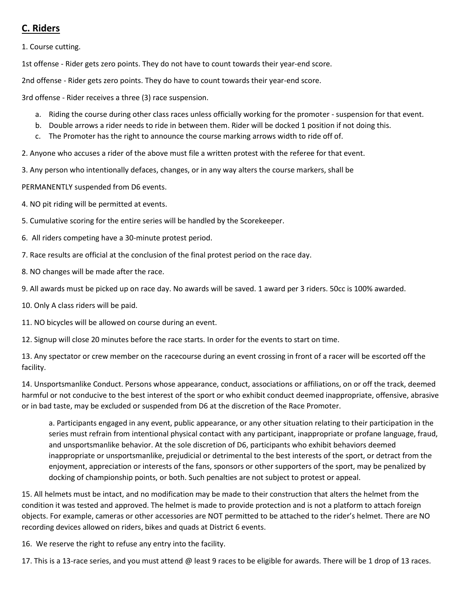# **C. Riders**

1. Course cutting.

1st offense - Rider gets zero points. They do not have to count towards their year-end score.

2nd offense - Rider gets zero points. They do have to count towards their year-end score.

3rd offense - Rider receives a three (3) race suspension.

- a. Riding the course during other class races unless officially working for the promoter suspension for that event.
- b. Double arrows a rider needs to ride in between them. Rider will be docked 1 position if not doing this.
- c. The Promoter has the right to announce the course marking arrows width to ride off of.

2. Anyone who accuses a rider of the above must file a written protest with the referee for that event.

3. Any person who intentionally defaces, changes, or in any way alters the course markers, shall be

PERMANENTLY suspended from D6 events.

4. NO pit riding will be permitted at events.

5. Cumulative scoring for the entire series will be handled by the Scorekeeper.

6. All riders competing have a 30-minute protest period.

7. Race results are official at the conclusion of the final protest period on the race day.

8. NO changes will be made after the race.

9. All awards must be picked up on race day. No awards will be saved. 1 award per 3 riders. 50cc is 100% awarded.

10. Only A class riders will be paid.

11. NO bicycles will be allowed on course during an event.

12. Signup will close 20 minutes before the race starts. In order for the events to start on time.

13. Any spectator or crew member on the racecourse during an event crossing in front of a racer will be escorted off the facility.

14. Unsportsmanlike Conduct. Persons whose appearance, conduct, associations or affiliations, on or off the track, deemed harmful or not conducive to the best interest of the sport or who exhibit conduct deemed inappropriate, offensive, abrasive or in bad taste, may be excluded or suspended from D6 at the discretion of the Race Promoter.

a. Participants engaged in any event, public appearance, or any other situation relating to their participation in the series must refrain from intentional physical contact with any participant, inappropriate or profane language, fraud, and unsportsmanlike behavior. At the sole discretion of D6, participants who exhibit behaviors deemed inappropriate or unsportsmanlike, prejudicial or detrimental to the best interests of the sport, or detract from the enjoyment, appreciation or interests of the fans, sponsors or other supporters of the sport, may be penalized by docking of championship points, or both. Such penalties are not subject to protest or appeal.

15. All helmets must be intact, and no modification may be made to their construction that alters the helmet from the condition it was tested and approved. The helmet is made to provide protection and is not a platform to attach foreign objects. For example, cameras or other accessories are NOT permitted to be attached to the rider's helmet. There are NO recording devices allowed on riders, bikes and quads at District 6 events.

16. We reserve the right to refuse any entry into the facility.

17. This is a 13-race series, and you must attend @ least 9 races to be eligible for awards. There will be 1 drop of 13 races.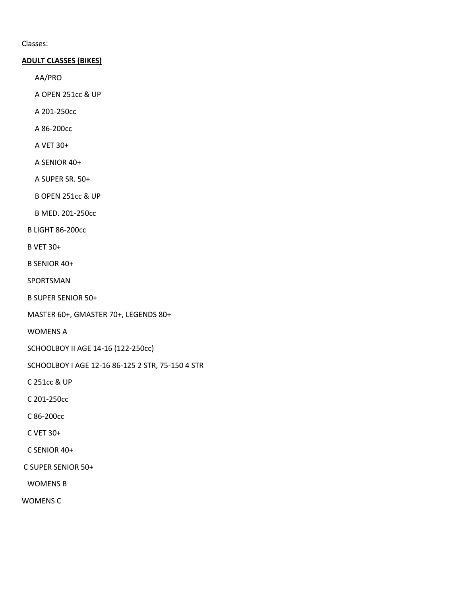Classes:

### **ADULT CLASSES (BIKES)**

AA/PRO

A OPEN 251cc & UP

A 201-250cc

A 86-200cc

A VET 30+

A SENIOR 40+

A SUPER SR. 50+

B OPEN 251cc & UP

B MED. 201-250cc

B LIGHT 86-200cc

B VET 30+

B SENIOR 40+

SPORTSMAN

B SUPER SENIOR 50+

MASTER 60+, GMASTER 70+, LEGENDS 80+

WOMENS A

SCHOOLBOY II AGE 14-16 (122-250cc)

SCHOOLBOY I AGE 12-16 86-125 2 STR, 75-150 4 STR

C 251cc & UP

C 201-250cc

C 86-200cc

C VET 30+

C SENIOR 40+

C SUPER SENIOR 50+

WOMENS B

WOMENS C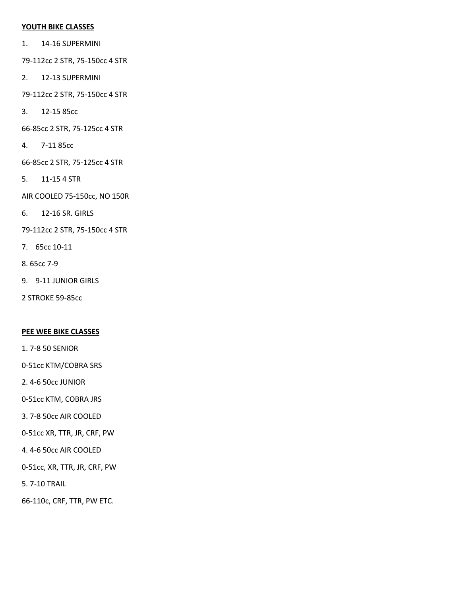#### **YOUTH BIKE CLASSES**

- 1. 14-16 SUPERMINI
- 79-112cc 2 STR, 75-150cc 4 STR
- 2. 12-13 SUPERMINI
- 79-112cc 2 STR, 75-150cc 4 STR
- 3. 12-15 85cc
- 66-85cc 2 STR, 75-125cc 4 STR
- 4. 7-11 85cc
- 66-85cc 2 STR, 75-125cc 4 STR
- 5. 11-15 4 STR
- AIR COOLED 75-150cc, NO 150R
- 6. 12-16 SR. GIRLS
- 79-112cc 2 STR, 75-150cc 4 STR
- 7. 65cc 10-11
- 8. 65cc 7-9
- 9. 9-11 JUNIOR GIRLS
- 2 STROKE 59-85cc

### **PEE WEE BIKE CLASSES**

- 1. 7-8 50 SENIOR
- 0-51cc KTM/COBRA SRS
- 2. 4-6 50cc JUNIOR
- 0-51cc KTM, COBRA JRS
- 3. 7-8 50cc AIR COOLED
- 0-51cc XR, TTR, JR, CRF, PW
- 4. 4-6 50cc AIR COOLED
- 0-51cc, XR, TTR, JR, CRF, PW
- 5. 7-10 TRAIL
- 66-110c, CRF, TTR, PW ETC.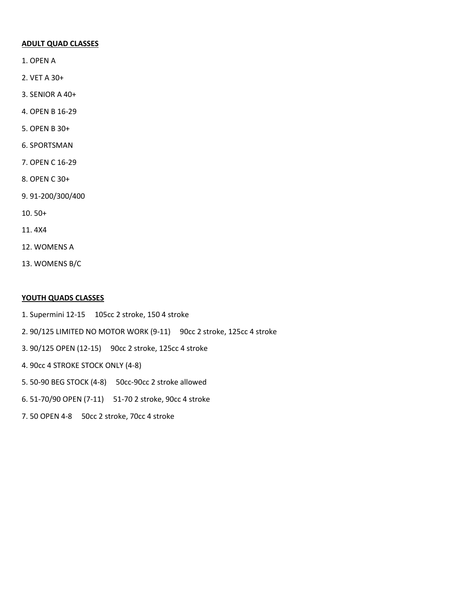### **ADULT QUAD CLASSES**

- 1. OPEN A
- 2. VET A 30+
- 3. SENIOR A 40+
- 4. OPEN B 16-29
- 5. OPEN B 30+
- 6. SPORTSMAN
- 7. OPEN C 16-29
- 8. OPEN C 30+
- 9. 91-200/300/400
- 10. 50+
- 11. 4X4
- 12. WOMENS A
- 13. WOMENS B/C

#### **YOUTH QUADS CLASSES**

- 1. Supermini 12-15 105cc 2 stroke, 150 4 stroke
- 2. 90/125 LIMITED NO MOTOR WORK (9-11) 90cc 2 stroke, 125cc 4 stroke
- 3. 90/125 OPEN (12-15) 90cc 2 stroke, 125cc 4 stroke
- 4. 90cc 4 STROKE STOCK ONLY (4-8)
- 5. 50-90 BEG STOCK (4-8) 50cc-90cc 2 stroke allowed
- 6. 51-70/90 OPEN (7-11) 51-70 2 stroke, 90cc 4 stroke
- 7. 50 OPEN 4-8 50cc 2 stroke, 70cc 4 stroke